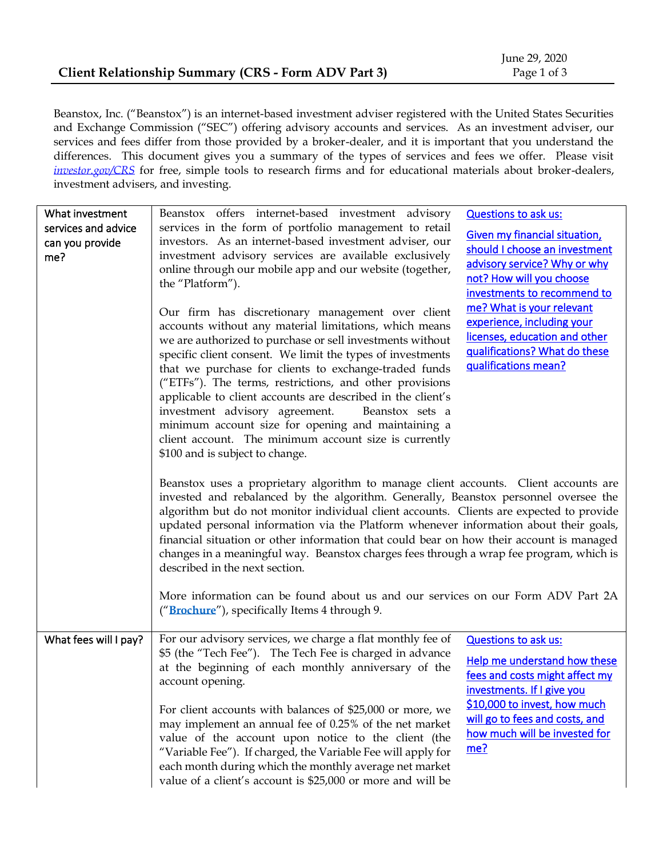Beanstox, Inc. ("Beanstox") is an internet-based investment adviser registered with the United States Securities and Exchange Commission ("SEC") offering advisory accounts and services. As an investment adviser, our services and fees differ from those provided by a broker-dealer, and it is important that you understand the differences. This document gives you a summary of the types of services and fees we offer. Please visit *[investor.gov/CRS](http://www.investor.gov/CRS)* for free, simple tools to research firms and for educational materials about broker-dealers, investment advisers, and investing.

| What investment<br>services and advice<br>can you provide<br>me? | Beanstox offers internet-based investment advisory<br>services in the form of portfolio management to retail<br>investors. As an internet-based investment adviser, our<br>investment advisory services are available exclusively<br>online through our mobile app and our website (together,<br>the "Platform").<br>Our firm has discretionary management over client<br>accounts without any material limitations, which means<br>we are authorized to purchase or sell investments without<br>specific client consent. We limit the types of investments<br>that we purchase for clients to exchange-traded funds<br>("ETFs"). The terms, restrictions, and other provisions<br>applicable to client accounts are described in the client's<br>investment advisory agreement.<br>Beanstox sets a<br>minimum account size for opening and maintaining a<br>client account. The minimum account size is currently<br>\$100 and is subject to change.<br>Beanstox uses a proprietary algorithm to manage client accounts. Client accounts are<br>invested and rebalanced by the algorithm. Generally, Beanstox personnel oversee the<br>algorithm but do not monitor individual client accounts. Clients are expected to provide<br>updated personal information via the Platform whenever information about their goals,<br>financial situation or other information that could bear on how their account is managed<br>changes in a meaningful way. Beanstox charges fees through a wrap fee program, which is<br>described in the next section. | <b>Questions to ask us:</b><br><b>Given my financial situation,</b><br>should I choose an investment<br>advisory service? Why or why<br>not? How will you choose<br>investments to recommend to<br>me? What is your relevant<br>experience, including your<br>licenses, education and other<br>qualifications? What do these<br>qualifications mean? |
|------------------------------------------------------------------|----------------------------------------------------------------------------------------------------------------------------------------------------------------------------------------------------------------------------------------------------------------------------------------------------------------------------------------------------------------------------------------------------------------------------------------------------------------------------------------------------------------------------------------------------------------------------------------------------------------------------------------------------------------------------------------------------------------------------------------------------------------------------------------------------------------------------------------------------------------------------------------------------------------------------------------------------------------------------------------------------------------------------------------------------------------------------------------------------------------------------------------------------------------------------------------------------------------------------------------------------------------------------------------------------------------------------------------------------------------------------------------------------------------------------------------------------------------------------------------------------------------------------------------------------|------------------------------------------------------------------------------------------------------------------------------------------------------------------------------------------------------------------------------------------------------------------------------------------------------------------------------------------------------|
|                                                                  | More information can be found about us and our services on our Form ADV Part 2A<br>("Brochure"), specifically Items 4 through 9.                                                                                                                                                                                                                                                                                                                                                                                                                                                                                                                                                                                                                                                                                                                                                                                                                                                                                                                                                                                                                                                                                                                                                                                                                                                                                                                                                                                                                   |                                                                                                                                                                                                                                                                                                                                                      |
| What fees will I pay?                                            | For our advisory services, we charge a flat monthly fee of<br>\$5 (the "Tech Fee"). The Tech Fee is charged in advance<br>at the beginning of each monthly anniversary of the<br>account opening.<br>For client accounts with balances of \$25,000 or more, we<br>may implement an annual fee of 0.25% of the net market<br>value of the account upon notice to the client (the<br>"Variable Fee"). If charged, the Variable Fee will apply for<br>each month during which the monthly average net market<br>value of a client's account is \$25,000 or more and will be                                                                                                                                                                                                                                                                                                                                                                                                                                                                                                                                                                                                                                                                                                                                                                                                                                                                                                                                                                           | <b>Questions to ask us:</b><br>Help me understand how these<br>fees and costs might affect my<br>investments. If I give you<br>\$10,000 to invest, how much<br>will go to fees and costs, and<br>how much will be invested for<br>me?                                                                                                                |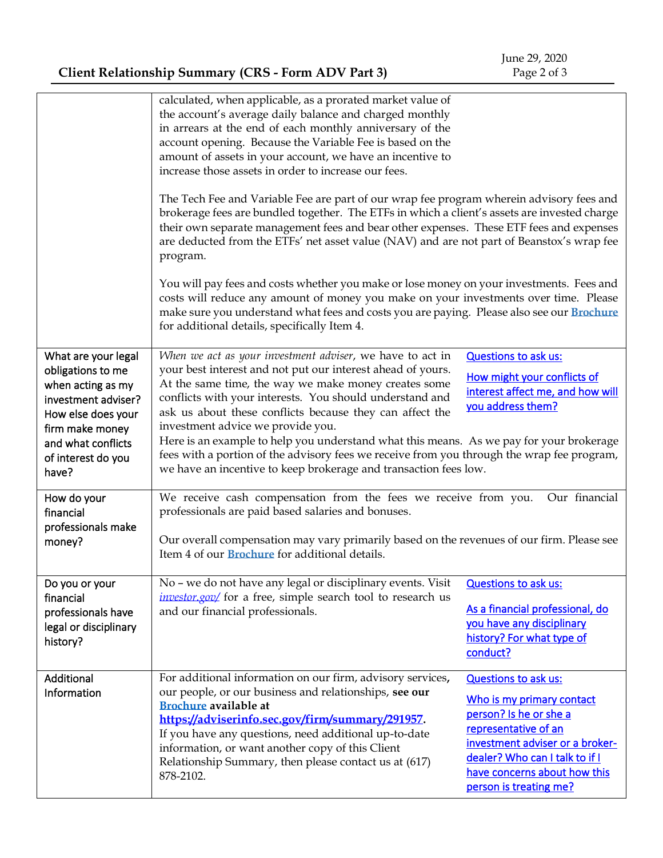**Client Relationship Summary (CRS - Form ADV Part 3)**

|                                                                                                                                                                                    | calculated, when applicable, as a prorated market value of<br>the account's average daily balance and charged monthly<br>in arrears at the end of each monthly anniversary of the<br>account opening. Because the Variable Fee is based on the<br>amount of assets in your account, we have an incentive to<br>increase those assets in order to increase our fees.<br>The Tech Fee and Variable Fee are part of our wrap fee program wherein advisory fees and<br>brokerage fees are bundled together. The ETFs in which a client's assets are invested charge<br>their own separate management fees and bear other expenses. These ETF fees and expenses<br>are deducted from the ETFs' net asset value (NAV) and are not part of Beanstox's wrap fee<br>program.<br>You will pay fees and costs whether you make or lose money on your investments. Fees and<br>costs will reduce any amount of money you make on your investments over time. Please<br>make sure you understand what fees and costs you are paying. Please also see our <b>Brochure</b><br>for additional details, specifically Item 4. |                                                                                                                                                                                                                                           |  |
|------------------------------------------------------------------------------------------------------------------------------------------------------------------------------------|-------------------------------------------------------------------------------------------------------------------------------------------------------------------------------------------------------------------------------------------------------------------------------------------------------------------------------------------------------------------------------------------------------------------------------------------------------------------------------------------------------------------------------------------------------------------------------------------------------------------------------------------------------------------------------------------------------------------------------------------------------------------------------------------------------------------------------------------------------------------------------------------------------------------------------------------------------------------------------------------------------------------------------------------------------------------------------------------------------------|-------------------------------------------------------------------------------------------------------------------------------------------------------------------------------------------------------------------------------------------|--|
| What are your legal<br>obligations to me<br>when acting as my<br>investment adviser?<br>How else does your<br>firm make money<br>and what conflicts<br>of interest do you<br>have? | When we act as your investment adviser, we have to act in<br>your best interest and not put our interest ahead of yours.<br>At the same time, the way we make money creates some<br>conflicts with your interests. You should understand and<br>ask us about these conflicts because they can affect the<br>investment advice we provide you.<br>Here is an example to help you understand what this means. As we pay for your brokerage<br>fees with a portion of the advisory fees we receive from you through the wrap fee program,<br>we have an incentive to keep brokerage and transaction fees low.                                                                                                                                                                                                                                                                                                                                                                                                                                                                                                  | <b>Questions to ask us:</b><br>How might your conflicts of<br>interest affect me, and how will<br>you address them?                                                                                                                       |  |
| How do your<br>financial<br>professionals make<br>money?                                                                                                                           | Our financial<br>We receive cash compensation from the fees we receive from you.<br>professionals are paid based salaries and bonuses.<br>Our overall compensation may vary primarily based on the revenues of our firm. Please see<br>Item 4 of our <b>Brochure</b> for additional details.                                                                                                                                                                                                                                                                                                                                                                                                                                                                                                                                                                                                                                                                                                                                                                                                                |                                                                                                                                                                                                                                           |  |
| Do you or your<br>financial<br>professionals have<br>legal or disciplinary<br>history?                                                                                             | No - we do not have any legal or disciplinary events. Visit<br>investor.gov/ for a free, simple search tool to research us<br>and our financial professionals.                                                                                                                                                                                                                                                                                                                                                                                                                                                                                                                                                                                                                                                                                                                                                                                                                                                                                                                                              | <b>Questions to ask us:</b><br>As a financial professional, do<br>you have any disciplinary<br>history? For what type of<br>conduct?                                                                                                      |  |
| Additional<br>Information                                                                                                                                                          | For additional information on our firm, advisory services,<br>our people, or our business and relationships, see our<br><b>Brochure</b> available at<br>https://adviserinfo.sec.gov/firm/summary/291957.<br>If you have any questions, need additional up-to-date<br>information, or want another copy of this Client<br>Relationship Summary, then please contact us at (617)<br>878-2102.                                                                                                                                                                                                                                                                                                                                                                                                                                                                                                                                                                                                                                                                                                                 | <b>Questions to ask us:</b><br>Who is my primary contact<br>person? Is he or she a<br>representative of an<br>investment adviser or a broker-<br>dealer? Who can I talk to if I<br>have concerns about how this<br>person is treating me? |  |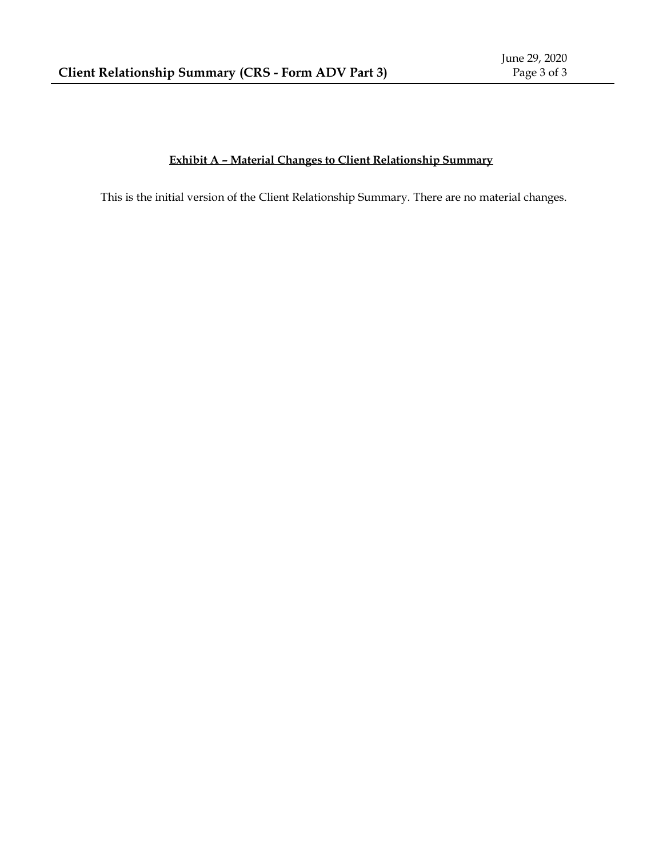#### **Exhibit A – Material Changes to Client Relationship Summary**

This is the initial version of the Client Relationship Summary. There are no material changes.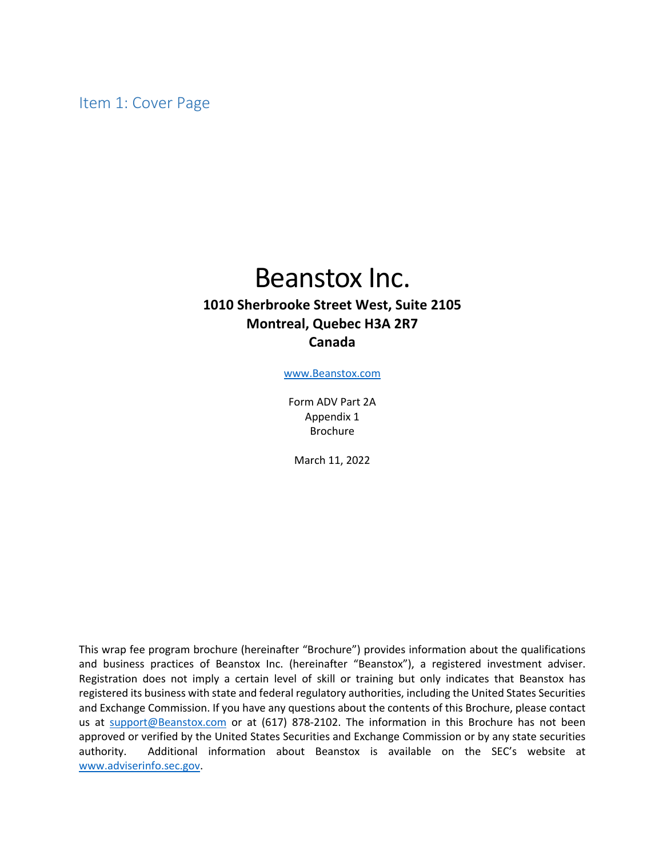Item 1: Cover Page

# Beanstox Inc.

### **1010 Sherbrooke Street West, Suite 2105 Montreal, Quebec H3A 2R7 Canada**

www.Beanstox.com

Form ADV Part 2A Appendix 1 Brochure

March 11, 2022

This wrap fee program brochure (hereinafter "Brochure") provides information about the qualifications and business practices of Beanstox Inc. (hereinafter "Beanstox"), a registered investment adviser. Registration does not imply a certain level of skill or training but only indicates that Beanstox has registered its business with state and federal regulatory authorities, including the United States Securities and Exchange Commission. If you have any questions about the contents of this Brochure, please contact us at support@Beanstox.com or at (617) 878-2102. The information in this Brochure has not been approved or verified by the United States Securities and Exchange Commission or by any state securities authority. Additional information about Beanstox is available on the SEC's website at www.adviserinfo.sec.gov.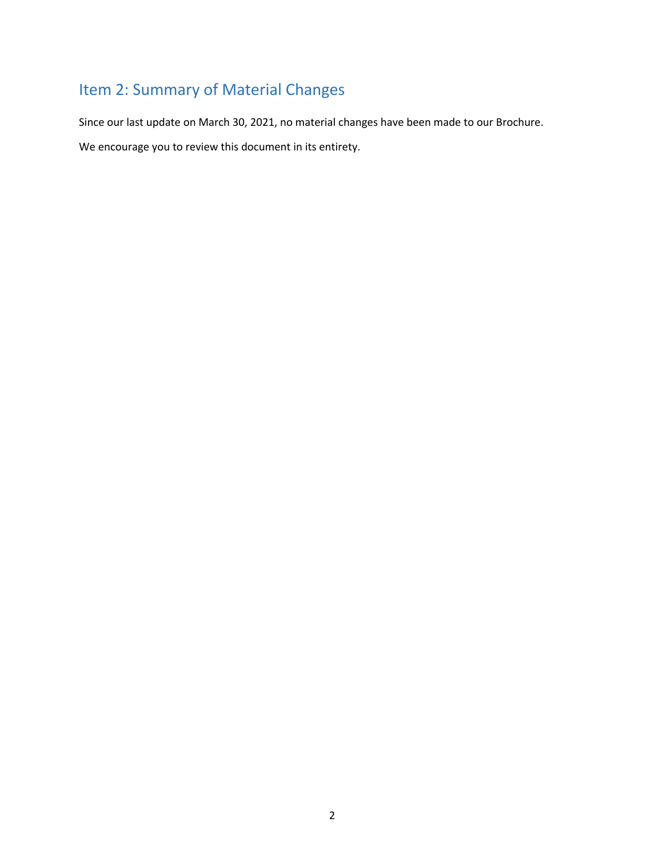## Item 2: Summary of Material Changes

Since our last update on March 30, 2021, no material changes have been made to our Brochure.

We encourage you to review this document in its entirety.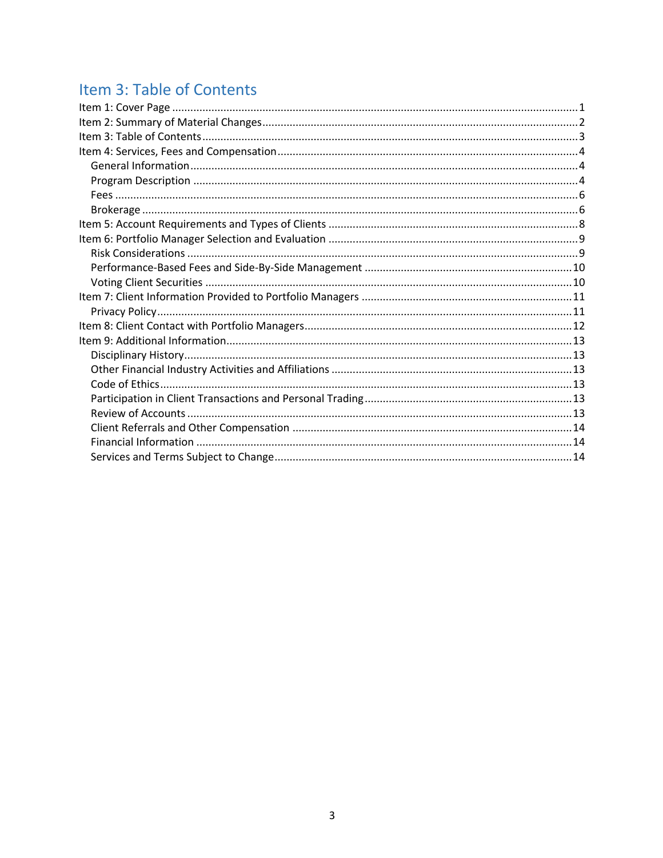## Item 3: Table of Contents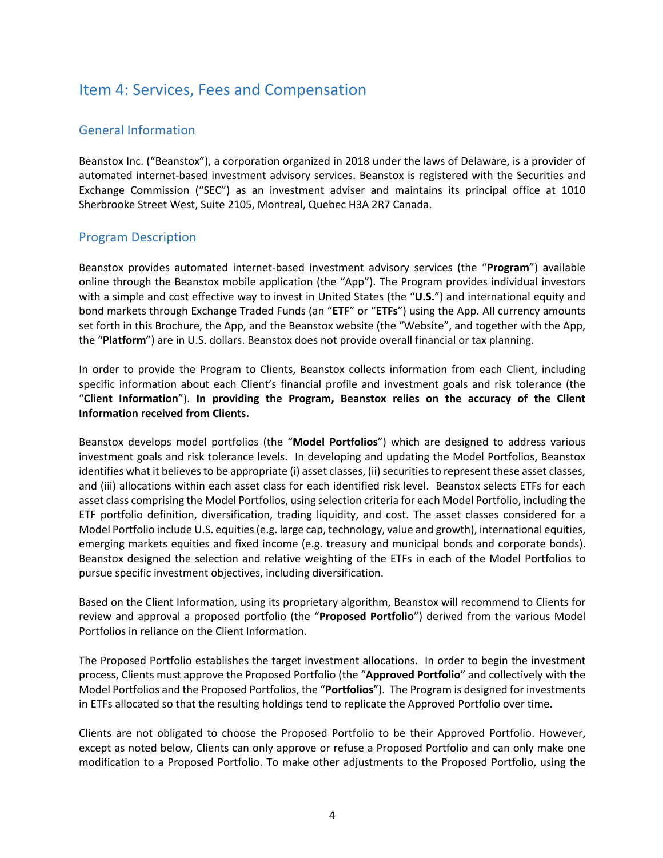## Item 4: Services, Fees and Compensation

#### General Information

Beanstox Inc. ("Beanstox"), a corporation organized in 2018 under the laws of Delaware, is a provider of automated internet-based investment advisory services. Beanstox is registered with the Securities and Exchange Commission ("SEC") as an investment adviser and maintains its principal office at 1010 Sherbrooke Street West, Suite 2105, Montreal, Quebec H3A 2R7 Canada.

#### Program Description

Beanstox provides automated internet-based investment advisory services (the "**Program**") available online through the Beanstox mobile application (the "App"). The Program provides individual investors with a simple and cost effective way to invest in United States (the "**U.S.**") and international equity and bond markets through Exchange Traded Funds (an "**ETF**" or "**ETFs**") using the App. All currency amounts set forth in this Brochure, the App, and the Beanstox website (the "Website", and together with the App, the "**Platform**") are in U.S. dollars. Beanstox does not provide overall financial or tax planning.

In order to provide the Program to Clients, Beanstox collects information from each Client, including specific information about each Client's financial profile and investment goals and risk tolerance (the "**Client Information**"). **In providing the Program, Beanstox relies on the accuracy of the Client Information received from Clients.**

Beanstox develops model portfolios (the "**Model Portfolios**") which are designed to address various investment goals and risk tolerance levels. In developing and updating the Model Portfolios, Beanstox identifies what it believes to be appropriate (i) asset classes, (ii) securities to represent these asset classes, and (iii) allocations within each asset class for each identified risk level. Beanstox selects ETFs for each asset class comprising the Model Portfolios, using selection criteria for each Model Portfolio, including the ETF portfolio definition, diversification, trading liquidity, and cost. The asset classes considered for a Model Portfolio include U.S. equities (e.g. large cap, technology, value and growth), international equities, emerging markets equities and fixed income (e.g. treasury and municipal bonds and corporate bonds). Beanstox designed the selection and relative weighting of the ETFs in each of the Model Portfolios to pursue specific investment objectives, including diversification.

Based on the Client Information, using its proprietary algorithm, Beanstox will recommend to Clients for review and approval a proposed portfolio (the "**Proposed Portfolio**") derived from the various Model Portfolios in reliance on the Client Information.

The Proposed Portfolio establishes the target investment allocations. In order to begin the investment process, Clients must approve the Proposed Portfolio (the "**Approved Portfolio**" and collectively with the Model Portfolios and the Proposed Portfolios, the "**Portfolios**"). The Program is designed for investments in ETFs allocated so that the resulting holdings tend to replicate the Approved Portfolio over time.

Clients are not obligated to choose the Proposed Portfolio to be their Approved Portfolio. However, except as noted below, Clients can only approve or refuse a Proposed Portfolio and can only make one modification to a Proposed Portfolio. To make other adjustments to the Proposed Portfolio, using the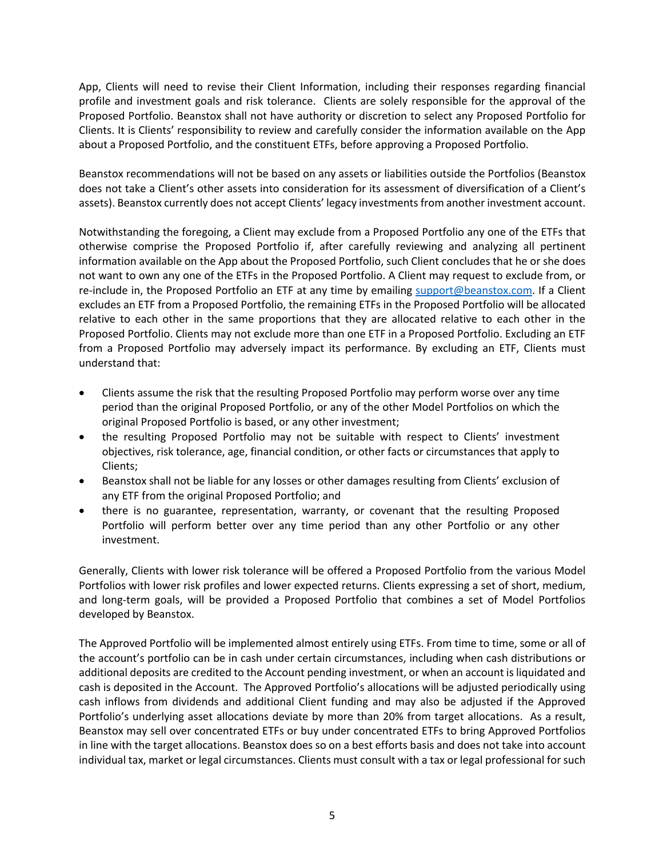App, Clients will need to revise their Client Information, including their responses regarding financial profile and investment goals and risk tolerance. Clients are solely responsible for the approval of the Proposed Portfolio. Beanstox shall not have authority or discretion to select any Proposed Portfolio for Clients. It is Clients' responsibility to review and carefully consider the information available on the App about a Proposed Portfolio, and the constituent ETFs, before approving a Proposed Portfolio.

Beanstox recommendations will not be based on any assets or liabilities outside the Portfolios (Beanstox does not take a Client's other assets into consideration for its assessment of diversification of a Client's assets). Beanstox currently does not accept Clients' legacy investments from another investment account.

Notwithstanding the foregoing, a Client may exclude from a Proposed Portfolio any one of the ETFs that otherwise comprise the Proposed Portfolio if, after carefully reviewing and analyzing all pertinent information available on the App about the Proposed Portfolio, such Client concludes that he or she does not want to own any one of the ETFs in the Proposed Portfolio. A Client may request to exclude from, or re-include in, the Proposed Portfolio an ETF at any time by emailing support@beanstox.com. If a Client excludes an ETF from a Proposed Portfolio, the remaining ETFs in the Proposed Portfolio will be allocated relative to each other in the same proportions that they are allocated relative to each other in the Proposed Portfolio. Clients may not exclude more than one ETF in a Proposed Portfolio. Excluding an ETF from a Proposed Portfolio may adversely impact its performance. By excluding an ETF, Clients must understand that:

- Clients assume the risk that the resulting Proposed Portfolio may perform worse over any time period than the original Proposed Portfolio, or any of the other Model Portfolios on which the original Proposed Portfolio is based, or any other investment;
- the resulting Proposed Portfolio may not be suitable with respect to Clients' investment objectives, risk tolerance, age, financial condition, or other facts or circumstances that apply to Clients;
- Beanstox shall not be liable for any losses or other damages resulting from Clients' exclusion of any ETF from the original Proposed Portfolio; and
- there is no guarantee, representation, warranty, or covenant that the resulting Proposed Portfolio will perform better over any time period than any other Portfolio or any other investment.

Generally, Clients with lower risk tolerance will be offered a Proposed Portfolio from the various Model Portfolios with lower risk profiles and lower expected returns. Clients expressing a set of short, medium, and long-term goals, will be provided a Proposed Portfolio that combines a set of Model Portfolios developed by Beanstox.

The Approved Portfolio will be implemented almost entirely using ETFs. From time to time, some or all of the account's portfolio can be in cash under certain circumstances, including when cash distributions or additional deposits are credited to the Account pending investment, or when an account is liquidated and cash is deposited in the Account. The Approved Portfolio's allocations will be adjusted periodically using cash inflows from dividends and additional Client funding and may also be adjusted if the Approved Portfolio's underlying asset allocations deviate by more than 20% from target allocations. As a result, Beanstox may sell over concentrated ETFs or buy under concentrated ETFs to bring Approved Portfolios in line with the target allocations. Beanstox does so on a best efforts basis and does not take into account individual tax, market or legal circumstances. Clients must consult with a tax or legal professional for such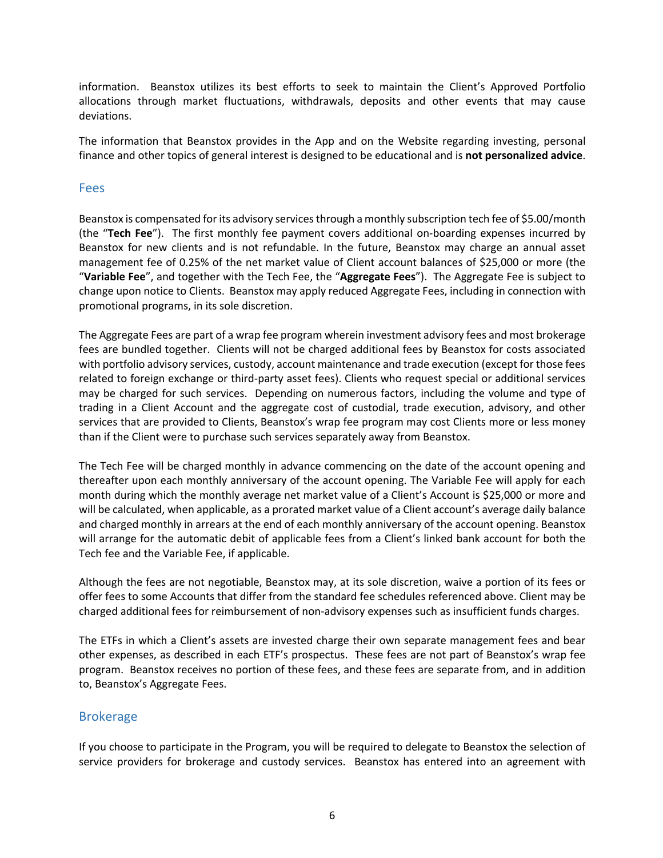information. Beanstox utilizes its best efforts to seek to maintain the Client's Approved Portfolio allocations through market fluctuations, withdrawals, deposits and other events that may cause deviations.

The information that Beanstox provides in the App and on the Website regarding investing, personal finance and other topics of general interest is designed to be educational and is **not personalized advice**.

#### Fees

Beanstox is compensated for its advisory services through a monthly subscription tech fee of \$5.00/month (the "**Tech Fee**"). The first monthly fee payment covers additional on-boarding expenses incurred by Beanstox for new clients and is not refundable. In the future, Beanstox may charge an annual asset management fee of 0.25% of the net market value of Client account balances of \$25,000 or more (the "**Variable Fee**", and together with the Tech Fee, the "**Aggregate Fees**"). The Aggregate Fee is subject to change upon notice to Clients. Beanstox may apply reduced Aggregate Fees, including in connection with promotional programs, in its sole discretion.

The Aggregate Fees are part of a wrap fee program wherein investment advisory fees and most brokerage fees are bundled together. Clients will not be charged additional fees by Beanstox for costs associated with portfolio advisory services, custody, account maintenance and trade execution (except for those fees related to foreign exchange or third-party asset fees). Clients who request special or additional services may be charged for such services. Depending on numerous factors, including the volume and type of trading in a Client Account and the aggregate cost of custodial, trade execution, advisory, and other services that are provided to Clients, Beanstox's wrap fee program may cost Clients more or less money than if the Client were to purchase such services separately away from Beanstox.

The Tech Fee will be charged monthly in advance commencing on the date of the account opening and thereafter upon each monthly anniversary of the account opening. The Variable Fee will apply for each month during which the monthly average net market value of a Client's Account is \$25,000 or more and will be calculated, when applicable, as a prorated market value of a Client account's average daily balance and charged monthly in arrears at the end of each monthly anniversary of the account opening. Beanstox will arrange for the automatic debit of applicable fees from a Client's linked bank account for both the Tech fee and the Variable Fee, if applicable.

Although the fees are not negotiable, Beanstox may, at its sole discretion, waive a portion of its fees or offer fees to some Accounts that differ from the standard fee schedules referenced above. Client may be charged additional fees for reimbursement of non-advisory expenses such as insufficient funds charges.

The ETFs in which a Client's assets are invested charge their own separate management fees and bear other expenses, as described in each ETF's prospectus. These fees are not part of Beanstox's wrap fee program. Beanstox receives no portion of these fees, and these fees are separate from, and in addition to, Beanstox's Aggregate Fees.

#### Brokerage

If you choose to participate in the Program, you will be required to delegate to Beanstox the selection of service providers for brokerage and custody services. Beanstox has entered into an agreement with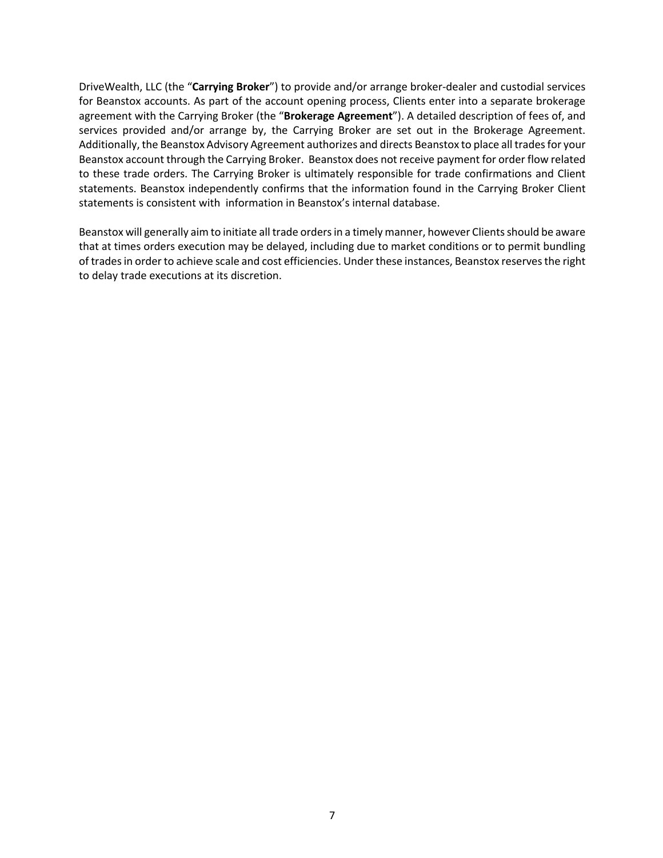DriveWealth, LLC (the "**Carrying Broker**") to provide and/or arrange broker-dealer and custodial services for Beanstox accounts. As part of the account opening process, Clients enter into a separate brokerage agreement with the Carrying Broker (the "**Brokerage Agreement**"). A detailed description of fees of, and services provided and/or arrange by, the Carrying Broker are set out in the Brokerage Agreement. Additionally, the Beanstox Advisory Agreement authorizes and directs Beanstox to place all trades for your Beanstox account through the Carrying Broker. Beanstox does not receive payment for order flow related to these trade orders. The Carrying Broker is ultimately responsible for trade confirmations and Client statements. Beanstox independently confirms that the information found in the Carrying Broker Client statements is consistent with information in Beanstox's internal database.

Beanstox will generally aim to initiate all trade orders in a timely manner, however Clients should be aware that at times orders execution may be delayed, including due to market conditions or to permit bundling of trades in order to achieve scale and cost efficiencies. Under these instances, Beanstox reserves the right to delay trade executions at its discretion.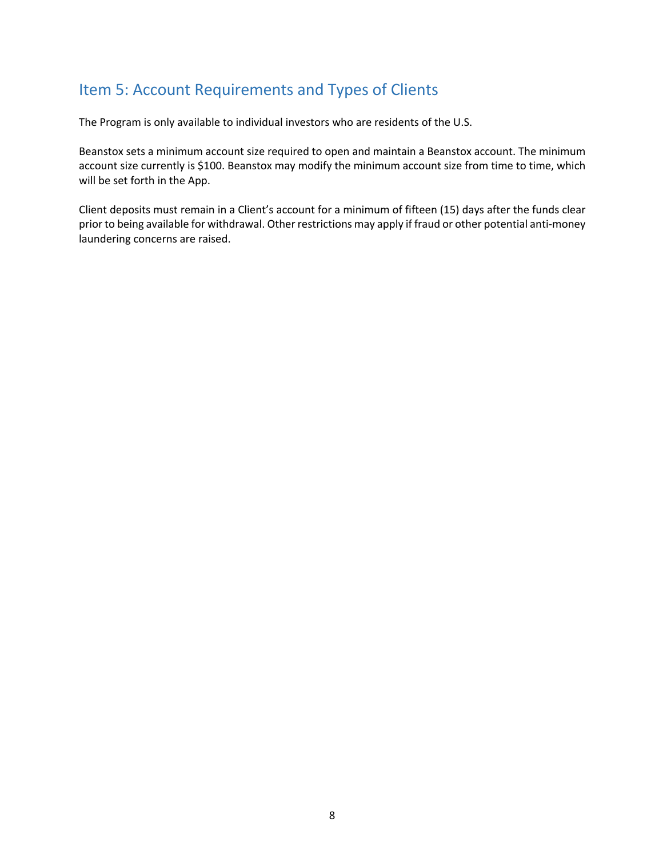## Item 5: Account Requirements and Types of Clients

The Program is only available to individual investors who are residents of the U.S.

Beanstox sets a minimum account size required to open and maintain a Beanstox account. The minimum account size currently is \$100. Beanstox may modify the minimum account size from time to time, which will be set forth in the App.

Client deposits must remain in a Client's account for a minimum of fifteen (15) days after the funds clear prior to being available for withdrawal. Other restrictions may apply if fraud or other potential anti-money laundering concerns are raised.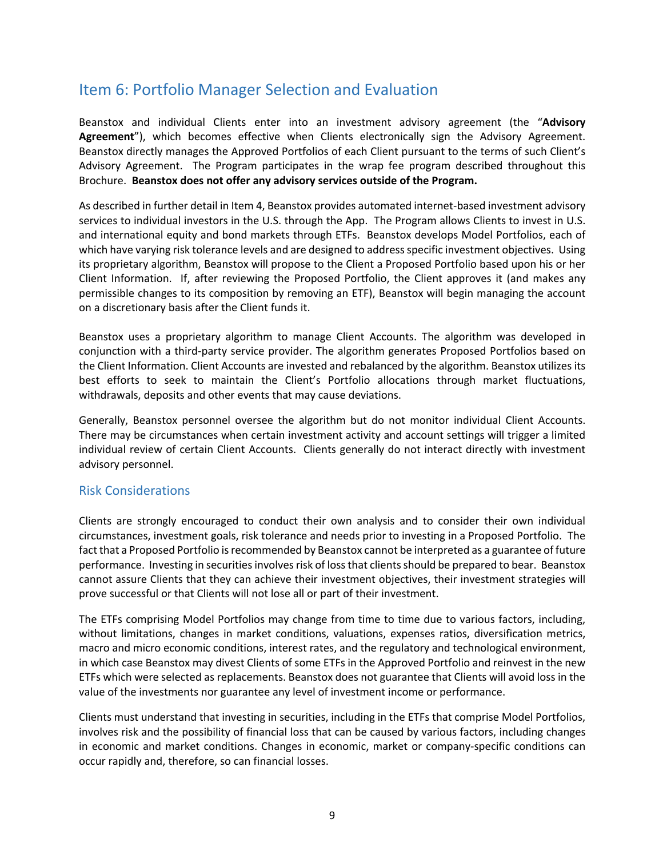## Item 6: Portfolio Manager Selection and Evaluation

Beanstox and individual Clients enter into an investment advisory agreement (the "**Advisory Agreement**"), which becomes effective when Clients electronically sign the Advisory Agreement. Beanstox directly manages the Approved Portfolios of each Client pursuant to the terms of such Client's Advisory Agreement. The Program participates in the wrap fee program described throughout this Brochure. **Beanstox does not offer any advisory services outside of the Program.**

As described in further detail in Item 4, Beanstox provides automated internet-based investment advisory services to individual investors in the U.S. through the App. The Program allows Clients to invest in U.S. and international equity and bond markets through ETFs. Beanstox develops Model Portfolios, each of which have varying risk tolerance levels and are designed to address specific investment objectives. Using its proprietary algorithm, Beanstox will propose to the Client a Proposed Portfolio based upon his or her Client Information. If, after reviewing the Proposed Portfolio, the Client approves it (and makes any permissible changes to its composition by removing an ETF), Beanstox will begin managing the account on a discretionary basis after the Client funds it.

Beanstox uses a proprietary algorithm to manage Client Accounts. The algorithm was developed in conjunction with a third-party service provider. The algorithm generates Proposed Portfolios based on the Client Information. Client Accounts are invested and rebalanced by the algorithm. Beanstox utilizes its best efforts to seek to maintain the Client's Portfolio allocations through market fluctuations, withdrawals, deposits and other events that may cause deviations.

Generally, Beanstox personnel oversee the algorithm but do not monitor individual Client Accounts. There may be circumstances when certain investment activity and account settings will trigger a limited individual review of certain Client Accounts. Clients generally do not interact directly with investment advisory personnel.

#### Risk Considerations

Clients are strongly encouraged to conduct their own analysis and to consider their own individual circumstances, investment goals, risk tolerance and needs prior to investing in a Proposed Portfolio. The fact that a Proposed Portfolio is recommended by Beanstox cannot be interpreted as a guarantee of future performance. Investing in securities involves risk of loss that clients should be prepared to bear. Beanstox cannot assure Clients that they can achieve their investment objectives, their investment strategies will prove successful or that Clients will not lose all or part of their investment.

The ETFs comprising Model Portfolios may change from time to time due to various factors, including, without limitations, changes in market conditions, valuations, expenses ratios, diversification metrics, macro and micro economic conditions, interest rates, and the regulatory and technological environment, in which case Beanstox may divest Clients of some ETFs in the Approved Portfolio and reinvest in the new ETFs which were selected as replacements. Beanstox does not guarantee that Clients will avoid loss in the value of the investments nor guarantee any level of investment income or performance.

Clients must understand that investing in securities, including in the ETFs that comprise Model Portfolios, involves risk and the possibility of financial loss that can be caused by various factors, including changes in economic and market conditions. Changes in economic, market or company-specific conditions can occur rapidly and, therefore, so can financial losses.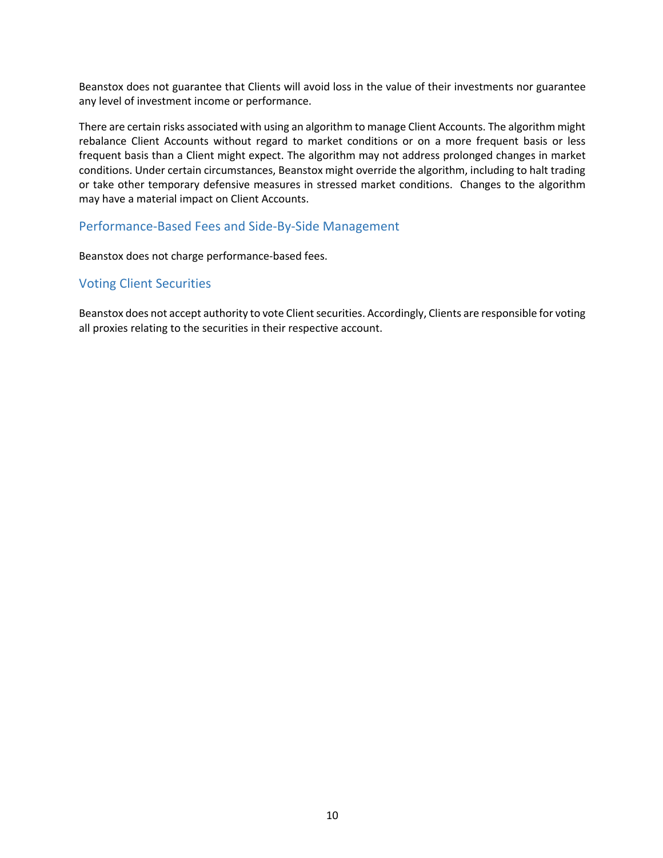Beanstox does not guarantee that Clients will avoid loss in the value of their investments nor guarantee any level of investment income or performance.

There are certain risks associated with using an algorithm to manage Client Accounts. The algorithm might rebalance Client Accounts without regard to market conditions or on a more frequent basis or less frequent basis than a Client might expect. The algorithm may not address prolonged changes in market conditions. Under certain circumstances, Beanstox might override the algorithm, including to halt trading or take other temporary defensive measures in stressed market conditions. Changes to the algorithm may have a material impact on Client Accounts.

#### Performance-Based Fees and Side-By-Side Management

Beanstox does not charge performance-based fees.

#### Voting Client Securities

Beanstox does not accept authority to vote Client securities. Accordingly, Clients are responsible for voting all proxies relating to the securities in their respective account.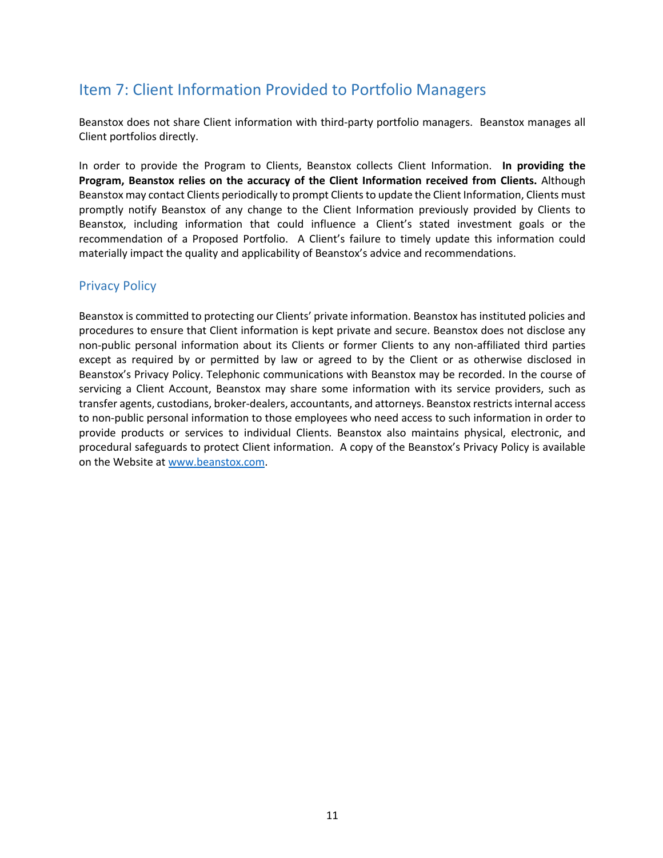## Item 7: Client Information Provided to Portfolio Managers

Beanstox does not share Client information with third-party portfolio managers. Beanstox manages all Client portfolios directly.

In order to provide the Program to Clients, Beanstox collects Client Information. **In providing the Program, Beanstox relies on the accuracy of the Client Information received from Clients.** Although Beanstox may contact Clients periodically to prompt Clients to update the Client Information, Clients must promptly notify Beanstox of any change to the Client Information previously provided by Clients to Beanstox, including information that could influence a Client's stated investment goals or the recommendation of a Proposed Portfolio. A Client's failure to timely update this information could materially impact the quality and applicability of Beanstox's advice and recommendations.

#### Privacy Policy

Beanstox is committed to protecting our Clients' private information. Beanstox has instituted policies and procedures to ensure that Client information is kept private and secure. Beanstox does not disclose any non-public personal information about its Clients or former Clients to any non-affiliated third parties except as required by or permitted by law or agreed to by the Client or as otherwise disclosed in Beanstox's Privacy Policy. Telephonic communications with Beanstox may be recorded. In the course of servicing a Client Account, Beanstox may share some information with its service providers, such as transfer agents, custodians, broker-dealers, accountants, and attorneys. Beanstox restricts internal access to non-public personal information to those employees who need access to such information in order to provide products or services to individual Clients. Beanstox also maintains physical, electronic, and procedural safeguards to protect Client information. A copy of the Beanstox's Privacy Policy is available on the Website at www.beanstox.com.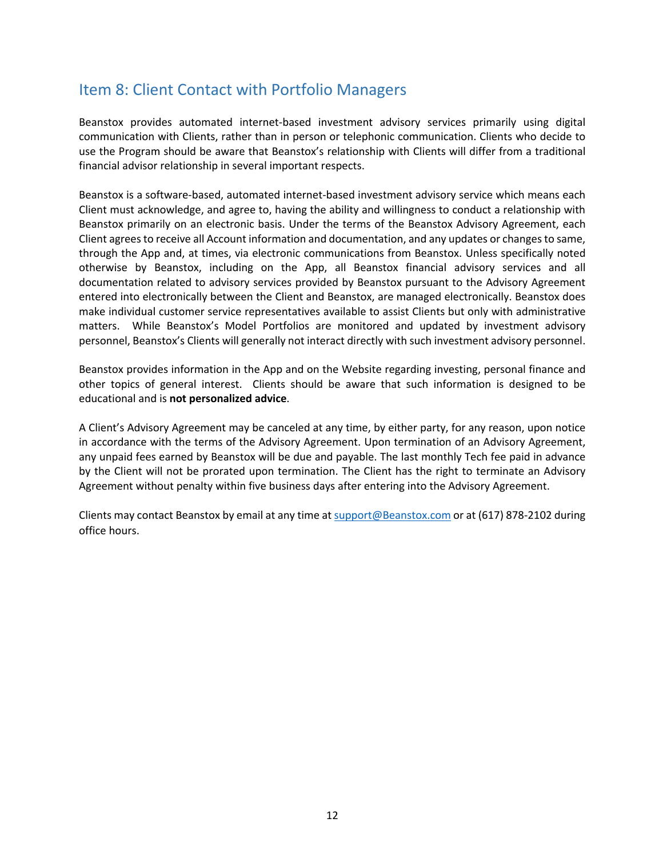## Item 8: Client Contact with Portfolio Managers

Beanstox provides automated internet-based investment advisory services primarily using digital communication with Clients, rather than in person or telephonic communication. Clients who decide to use the Program should be aware that Beanstox's relationship with Clients will differ from a traditional financial advisor relationship in several important respects.

Beanstox is a software-based, automated internet-based investment advisory service which means each Client must acknowledge, and agree to, having the ability and willingness to conduct a relationship with Beanstox primarily on an electronic basis. Under the terms of the Beanstox Advisory Agreement, each Client agrees to receive all Account information and documentation, and any updates or changes to same, through the App and, at times, via electronic communications from Beanstox. Unless specifically noted otherwise by Beanstox, including on the App, all Beanstox financial advisory services and all documentation related to advisory services provided by Beanstox pursuant to the Advisory Agreement entered into electronically between the Client and Beanstox, are managed electronically. Beanstox does make individual customer service representatives available to assist Clients but only with administrative matters. While Beanstox's Model Portfolios are monitored and updated by investment advisory personnel, Beanstox's Clients will generally not interact directly with such investment advisory personnel.

Beanstox provides information in the App and on the Website regarding investing, personal finance and other topics of general interest. Clients should be aware that such information is designed to be educational and is **not personalized advice**.

A Client's Advisory Agreement may be canceled at any time, by either party, for any reason, upon notice in accordance with the terms of the Advisory Agreement. Upon termination of an Advisory Agreement, any unpaid fees earned by Beanstox will be due and payable. The last monthly Tech fee paid in advance by the Client will not be prorated upon termination. The Client has the right to terminate an Advisory Agreement without penalty within five business days after entering into the Advisory Agreement.

Clients may contact Beanstox by email at any time at support@Beanstox.com or at (617) 878-2102 during office hours.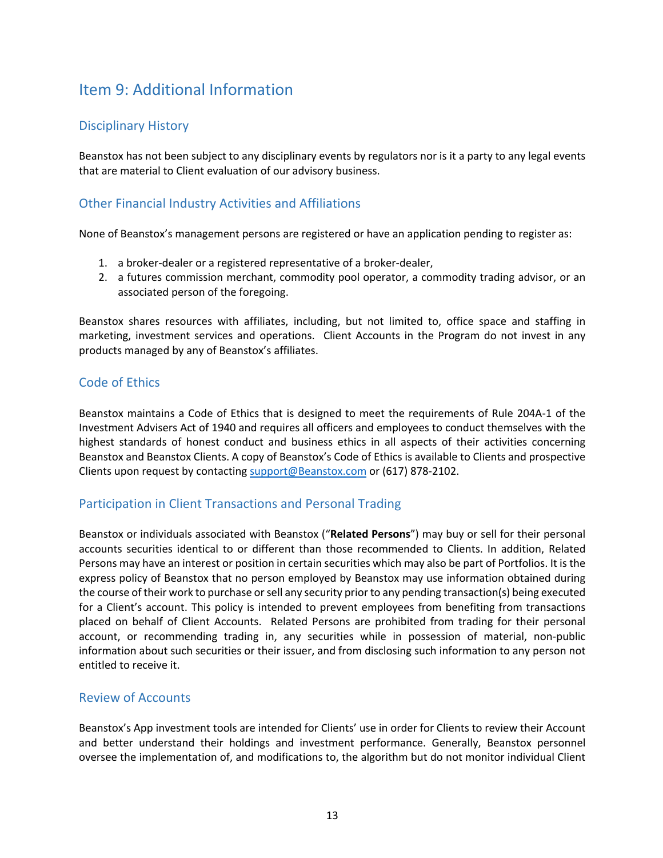## Item 9: Additional Information

#### Disciplinary History

Beanstox has not been subject to any disciplinary events by regulators nor is it a party to any legal events that are material to Client evaluation of our advisory business.

#### Other Financial Industry Activities and Affiliations

None of Beanstox's management persons are registered or have an application pending to register as:

- 1. a broker-dealer or a registered representative of a broker-dealer,
- 2. a futures commission merchant, commodity pool operator, a commodity trading advisor, or an associated person of the foregoing.

Beanstox shares resources with affiliates, including, but not limited to, office space and staffing in marketing, investment services and operations. Client Accounts in the Program do not invest in any products managed by any of Beanstox's affiliates.

#### Code of Ethics

Beanstox maintains a Code of Ethics that is designed to meet the requirements of Rule 204A-1 of the Investment Advisers Act of 1940 and requires all officers and employees to conduct themselves with the highest standards of honest conduct and business ethics in all aspects of their activities concerning Beanstox and Beanstox Clients. A copy of Beanstox's Code of Ethics is available to Clients and prospective Clients upon request by contacting support@Beanstox.com or (617) 878-2102.

#### Participation in Client Transactions and Personal Trading

Beanstox or individuals associated with Beanstox ("**Related Persons**") may buy or sell for their personal accounts securities identical to or different than those recommended to Clients. In addition, Related Persons may have an interest or position in certain securities which may also be part of Portfolios. It is the express policy of Beanstox that no person employed by Beanstox may use information obtained during the course of their work to purchase or sell any security prior to any pending transaction(s) being executed for a Client's account. This policy is intended to prevent employees from benefiting from transactions placed on behalf of Client Accounts. Related Persons are prohibited from trading for their personal account, or recommending trading in, any securities while in possession of material, non-public information about such securities or their issuer, and from disclosing such information to any person not entitled to receive it.

#### Review of Accounts

Beanstox's App investment tools are intended for Clients' use in order for Clients to review their Account and better understand their holdings and investment performance. Generally, Beanstox personnel oversee the implementation of, and modifications to, the algorithm but do not monitor individual Client